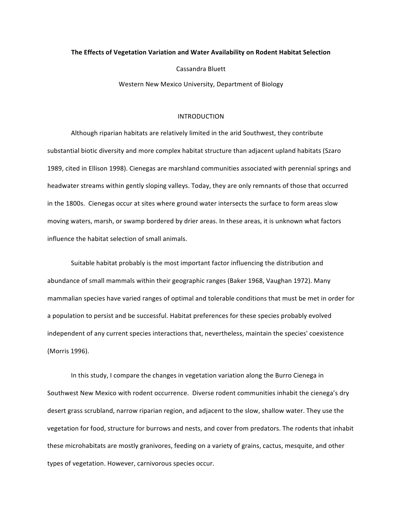## **The Effects of Vegetation Variation and Water Availability on Rodent Habitat Selection**

Cassandra Bluett

Western New Mexico University, Department of Biology

# INTRODUCTION

Although riparian habitats are relatively limited in the arid Southwest, they contribute substantial biotic diversity and more complex habitat structure than adjacent upland habitats (Szaro 1989, cited in Ellison 1998). Cienegas are marshland communities associated with perennial springs and headwater streams within gently sloping valleys. Today, they are only remnants of those that occurred in the 1800s. Cienegas occur at sites where ground water intersects the surface to form areas slow moving waters, marsh, or swamp bordered by drier areas. In these areas, it is unknown what factors influence the habitat selection of small animals.

Suitable habitat probably is the most important factor influencing the distribution and abundance of small mammals within their geographic ranges (Baker 1968, Vaughan 1972). Many mammalian species have varied ranges of optimal and tolerable conditions that must be met in order for a population to persist and be successful. Habitat preferences for these species probably evolved independent of any current species interactions that, nevertheless, maintain the species' coexistence (Morris 1996).

In this study, I compare the changes in vegetation variation along the Burro Cienega in Southwest New Mexico with rodent occurrence. Diverse rodent communities inhabit the cienega's dry desert grass scrubland, narrow riparian region, and adjacent to the slow, shallow water. They use the vegetation for food, structure for burrows and nests, and cover from predators. The rodents that inhabit these microhabitats are mostly granivores, feeding on a variety of grains, cactus, mesquite, and other types of vegetation. However, carnivorous species occur.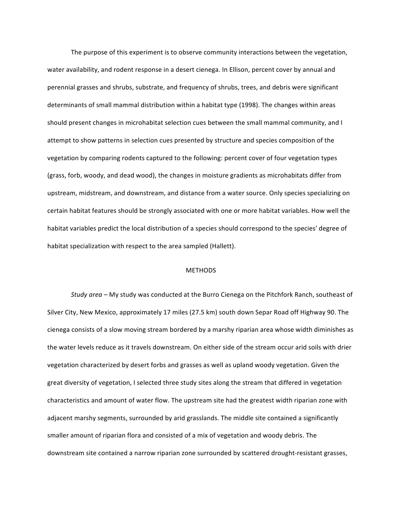The purpose of this experiment is to observe community interactions between the vegetation, water availability, and rodent response in a desert cienega. In Ellison, percent cover by annual and perennial grasses and shrubs, substrate, and frequency of shrubs, trees, and debris were significant determinants of small mammal distribution within a habitat type (1998). The changes within areas should present changes in microhabitat selection cues between the small mammal community, and I attempt to show patterns in selection cues presented by structure and species composition of the vegetation by comparing rodents captured to the following: percent cover of four vegetation types (grass, forb, woody, and dead wood), the changes in moisture gradients as microhabitats differ from upstream, midstream, and downstream, and distance from a water source. Only species specializing on certain habitat features should be strongly associated with one or more habitat variables. How well the habitat variables predict the local distribution of a species should correspond to the species' degree of habitat specialization with respect to the area sampled (Hallett).

## **METHODS**

*Study area* – My study was conducted at the Burro Cienega on the Pitchfork Ranch, southeast of Silver City, New Mexico, approximately 17 miles (27.5 km) south down Separ Road off Highway 90. The cienega consists of a slow moving stream bordered by a marshy riparian area whose width diminishes as the water levels reduce as it travels downstream. On either side of the stream occur arid soils with drier vegetation characterized by desert forbs and grasses as well as upland woody vegetation. Given the great diversity of vegetation, I selected three study sites along the stream that differed in vegetation characteristics and amount of water flow. The upstream site had the greatest width riparian zone with adjacent marshy segments, surrounded by arid grasslands. The middle site contained a significantly smaller amount of riparian flora and consisted of a mix of vegetation and woody debris. The downstream site contained a narrow riparian zone surrounded by scattered drought-resistant grasses,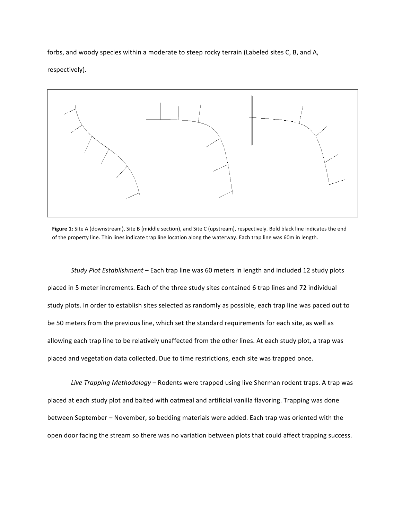forbs, and woody species within a moderate to steep rocky terrain (Labeled sites C, B, and A, respectively). 



Figure 1: Site A (downstream), Site B (middle section), and Site C (upstream), respectively. Bold black line indicates the end of the property line. Thin lines indicate trap line location along the waterway. Each trap line was 60m in length.

*Study Plot Establishment* – Each trap line was 60 meters in length and included 12 study plots placed in 5 meter increments. Each of the three study sites contained 6 trap lines and 72 individual study plots. In order to establish sites selected as randomly as possible, each trap line was paced out to be 50 meters from the previous line, which set the standard requirements for each site, as well as allowing each trap line to be relatively unaffected from the other lines. At each study plot, a trap was placed and vegetation data collected. Due to time restrictions, each site was trapped once.

*Live Trapping Methodology* – Rodents were trapped using live Sherman rodent traps. A trap was placed at each study plot and baited with oatmeal and artificial vanilla flavoring. Trapping was done between September – November, so bedding materials were added. Each trap was oriented with the open door facing the stream so there was no variation between plots that could affect trapping success.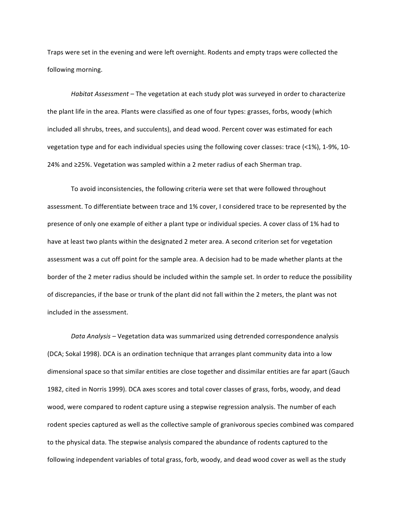Traps were set in the evening and were left overnight. Rodents and empty traps were collected the following morning.

*Habitat Assessment* – The vegetation at each study plot was surveyed in order to characterize the plant life in the area. Plants were classified as one of four types: grasses, forbs, woody (which included all shrubs, trees, and succulents), and dead wood. Percent cover was estimated for each vegetation type and for each individual species using the following cover classes: trace  $($ <1%), 1-9%, 10-24% and ≥25%. Vegetation was sampled within a 2 meter radius of each Sherman trap.

To avoid inconsistencies, the following criteria were set that were followed throughout assessment. To differentiate between trace and 1% cover, I considered trace to be represented by the presence of only one example of either a plant type or individual species. A cover class of 1% had to have at least two plants within the designated 2 meter area. A second criterion set for vegetation assessment was a cut off point for the sample area. A decision had to be made whether plants at the border of the 2 meter radius should be included within the sample set. In order to reduce the possibility of discrepancies, if the base or trunk of the plant did not fall within the 2 meters, the plant was not included in the assessment.

Data Analysis – Vegetation data was summarized using detrended correspondence analysis (DCA; Sokal 1998). DCA is an ordination technique that arranges plant community data into a low dimensional space so that similar entities are close together and dissimilar entities are far apart (Gauch 1982, cited in Norris 1999). DCA axes scores and total cover classes of grass, forbs, woody, and dead wood, were compared to rodent capture using a stepwise regression analysis. The number of each rodent species captured as well as the collective sample of granivorous species combined was compared to the physical data. The stepwise analysis compared the abundance of rodents captured to the following independent variables of total grass, forb, woody, and dead wood cover as well as the study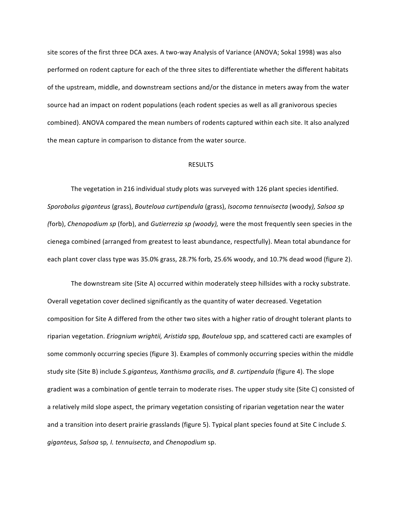site scores of the first three DCA axes. A two-way Analysis of Variance (ANOVA; Sokal 1998) was also performed on rodent capture for each of the three sites to differentiate whether the different habitats of the upstream, middle, and downstream sections and/or the distance in meters away from the water source had an impact on rodent populations (each rodent species as well as all granivorous species combined). ANOVA compared the mean numbers of rodents captured within each site. It also analyzed the mean capture in comparison to distance from the water source.

### RESULTS

The vegetation in 216 individual study plots was surveyed with 126 plant species identified. *Sporobolus giganteus* (grass), *Bouteloua curtipendula* (grass), *Isocoma tennuisecta* (woody*), Salsoa sp (forb), Chenopodium sp (forb), and Gutierrezia sp (woody), were the most frequently seen species in the* cienega combined (arranged from greatest to least abundance, respectfully). Mean total abundance for each plant cover class type was 35.0% grass, 28.7% forb, 25.6% woody, and 10.7% dead wood (figure 2).

The downstream site (Site A) occurred within moderately steep hillsides with a rocky substrate. Overall vegetation cover declined significantly as the quantity of water decreased. Vegetation composition for Site A differed from the other two sites with a higher ratio of drought tolerant plants to riparian vegetation. *Eriognium wrightii, Aristida* spp, Bouteloua spp, and scattered cacti are examples of some commonly occurring species (figure 3). Examples of commonly occurring species within the middle study site (Site B) include *S.giganteus, Xanthisma gracilis, and B. curtipendula* (figure 4). The slope gradient was a combination of gentle terrain to moderate rises. The upper study site (Site C) consisted of a relatively mild slope aspect, the primary vegetation consisting of riparian vegetation near the water and a transition into desert prairie grasslands (figure 5). Typical plant species found at Site C include S. *giganteus, Salsoa* sp*, I. tennuisecta*, and *Chenopodium* sp.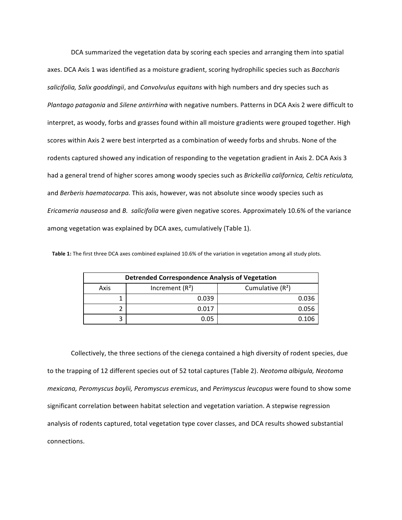DCA summarized the vegetation data by scoring each species and arranging them into spatial axes. DCA Axis 1 was identified as a moisture gradient, scoring hydrophilic species such as *Baccharis* salicifolia, Salix gooddingii, and *Convolvulus equitans* with high numbers and dry species such as *Plantago patagonia* and *Silene antirrhina* with negative numbers. Patterns in DCA Axis 2 were difficult to interpret, as woody, forbs and grasses found within all moisture gradients were grouped together. High scores within Axis 2 were best interprted as a combination of weedy forbs and shrubs. None of the rodents captured showed any indication of responding to the vegetation gradient in Axis 2. DCA Axis 3 had a general trend of higher scores among woody species such as *Brickellia californica, Celtis reticulata,* and *Berberis haematocarpa*. This axis, however, was not absolute since woody species such as *Ericameria nauseosa* and *B. salicifolia* were given negative scores. Approximately 10.6% of the variance among vegetation was explained by DCA axes, cumulatively (Table 1).

| <b>Detrended Correspondence Analysis of Vegetation</b> |                  |                    |  |
|--------------------------------------------------------|------------------|--------------------|--|
| Axis                                                   | Increment $(R2)$ | Cumulative $(R^2)$ |  |
|                                                        | 0.039            | 0.036              |  |
|                                                        | 0.017            | 0.056              |  |
|                                                        | 0.05             |                    |  |

Table 1: The first three DCA axes combined explained 10.6% of the variation in vegetation among all study plots.

Collectively, the three sections of the cienega contained a high diversity of rodent species, due to the trapping of 12 different species out of 52 total captures (Table 2). *Neotoma albigula, Neotoma mexicana, Peromyscus boylii, Peromyscus eremicus,* and *Perimyscus leucopus* were found to show some significant correlation between habitat selection and vegetation variation. A stepwise regression analysis of rodents captured, total vegetation type cover classes, and DCA results showed substantial connections.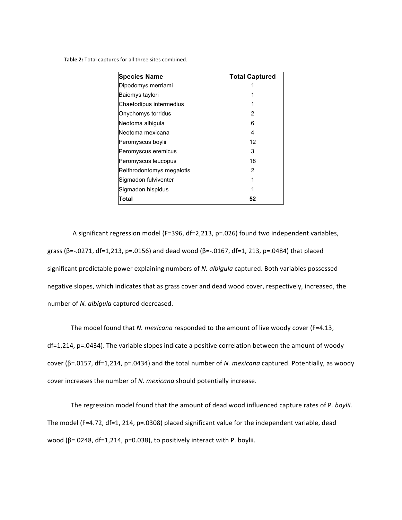Table 2: Total captures for all three sites combined.

| <b>Species Name</b>       | <b>Total Captured</b> |
|---------------------------|-----------------------|
| Dipodomys merriami        |                       |
| Baiomys taylori           |                       |
| Chaetodipus intermedius   |                       |
| Onychomys torridus        | 2                     |
| Neotoma albigula          | 6                     |
| Neotoma mexicana          | 4                     |
| Peromyscus boylii         | 12                    |
| Peromyscus eremicus       | 3                     |
| Peromyscus leucopus       | 18                    |
| Reithrodontomys megalotis | 2                     |
| Sigmadon fulviventer      | 1                     |
| Sigmadon hispidus         |                       |
| Total                     | 52                    |

A significant regression model (F=396, df=2,213, p=.026) found two independent variables, grass (β=-.0271, df=1,213, p=.0156) and dead wood (β=-.0167, df=1, 213, p=.0484) that placed significant predictable power explaining numbers of *N. albigula* captured. Both variables possessed negative slopes, which indicates that as grass cover and dead wood cover, respectively, increased, the number of *N. albigula* captured decreased.

The model found that *N. mexicana* responded to the amount of live woody cover (F=4.13, df=1,214, p=.0434). The variable slopes indicate a positive correlation between the amount of woody cover (β=.0157, df=1,214, p=.0434) and the total number of *N. mexicana* captured. Potentially, as woody cover increases the number of *N. mexicana* should potentially increase.

The regression model found that the amount of dead wood influenced capture rates of P. *boylii.* The model (F=4.72, df=1, 214,  $p=0308$ ) placed significant value for the independent variable, dead wood ( $β = .0248$ , df=1,214, p=0.038), to positively interact with P. boylii.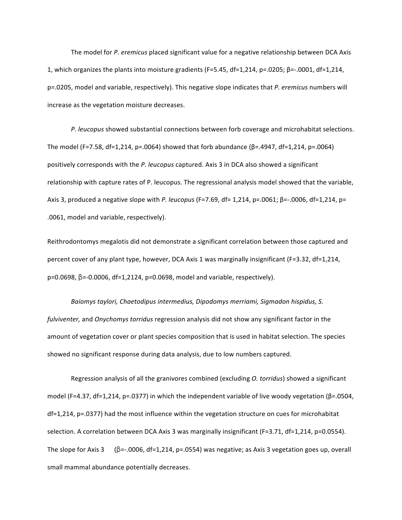The model for *P. eremicus* placed significant value for a negative relationship between DCA Axis 1, which organizes the plants into moisture gradients (F=5.45, df=1,214, p=.0205;  $\beta$ =-.0001, df=1,214, p=.0205, model and variable, respectively). This negative slope indicates that *P. eremicus* numbers will increase as the vegetation moisture decreases.

P. leucopus showed substantial connections between forb coverage and microhabitat selections. The model (F=7.58, df=1,214, p=.0064) showed that forb abundance ( $\beta$ =.4947, df=1,214, p=.0064) positively corresponds with the *P. leucopus* captured. Axis 3 in DCA also showed a significant relationship with capture rates of P. leucopus. The regressional analysis model showed that the variable, Axis 3, produced a negative slope with *P. leucopus* (F=7.69, df= 1,214, p=.0061; β=-.0006, df=1,214, p= .0061, model and variable, respectively).

Reithrodontomys megalotis did not demonstrate a significant correlation between those captured and percent cover of any plant type, however, DCA Axis 1 was marginally insignificant (F=3.32, df=1,214, p=0.0698, β=-0.0006, df=1,2124, p=0.0698, model and variable, respectively).

Baiomys taylori, Chaetodipus intermedius, Dipodomys merriami, Sigmadon hispidus, S. *fulviventer,* and *Onychomys torridus* regression analysis did not show any significant factor in the amount of vegetation cover or plant species composition that is used in habitat selection. The species showed no significant response during data analysis, due to low numbers captured.

Regression analysis of all the granivores combined (excluding *O. torridus*) showed a significant model (F=4.37, df=1,214, p=.0377) in which the independent variable of live woody vegetation ( $\beta$ =.0504,  $df=1,214$ ,  $p=.0377$ ) had the most influence within the vegetation structure on cues for microhabitat selection. A correlation between DCA Axis 3 was marginally insignificant (F=3.71, df=1,214, p=0.0554). The slope for Axis 3 ( $\beta$ =-.0006, df=1,214, p=.0554) was negative; as Axis 3 vegetation goes up, overall small mammal abundance potentially decreases.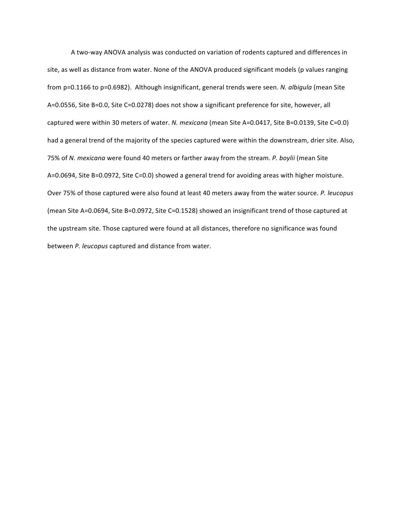A two-way ANOVA analysis was conducted on variation of rodents captured and differences in site, as well as distance from water. None of the ANOVA produced significant models (p values ranging from p=0.1166 to p=0.6982). Although insignificant, general trends were seen. *N. albigula* (mean Site A=0.0556, Site B=0.0, Site C=0.0278) does not show a significant preference for site, however, all captured were within 30 meters of water. *N. mexicana* (mean Site A=0.0417, Site B=0.0139, Site C=0.0) had a general trend of the majority of the species captured were within the downstream, drier site. Also, 75% of *N. mexicana* were found 40 meters or farther away from the stream. *P. boylii* (mean Site A=0.0694, Site B=0.0972, Site C=0.0) showed a general trend for avoiding areas with higher moisture. Over 75% of those captured were also found at least 40 meters away from the water source. *P. leucopus* (mean Site A=0.0694, Site B=0.0972, Site C=0.1528) showed an insignificant trend of those captured at the upstream site. Those captured were found at all distances, therefore no significance was found between *P. leucopus* captured and distance from water.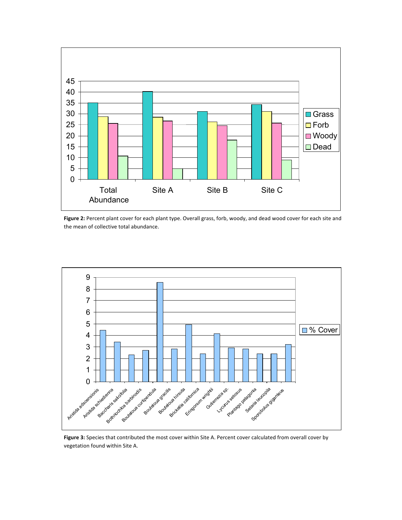

Figure 2: Percent plant cover for each plant type. Overall grass, forb, woody, and dead wood cover for each site and the mean of collective total abundance.



Figure 3: Species that contributed the most cover within Site A. Percent cover calculated from overall cover by vegetation found within Site A.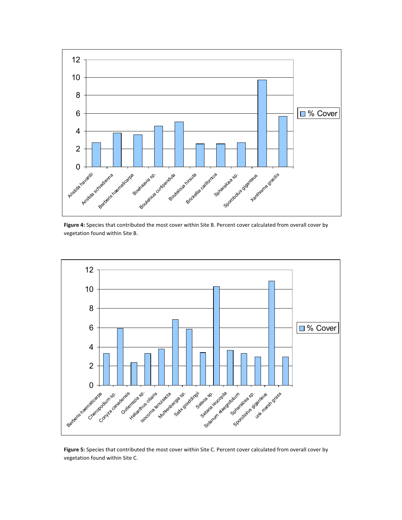

Figure 4: Species that contributed the most cover within Site B. Percent cover calculated from overall cover by vegetation found within Site B.



Figure 5: Species that contributed the most cover within Site C. Percent cover calculated from overall cover by vegetation found within Site C.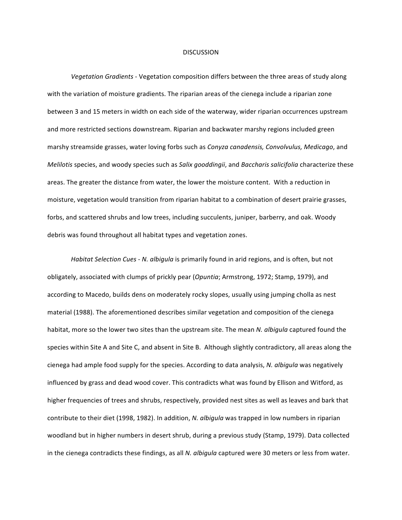#### **DISCUSSION**

Vegetation Gradients - Vegetation composition differs between the three areas of study along with the variation of moisture gradients. The riparian areas of the cienega include a riparian zone between 3 and 15 meters in width on each side of the waterway, wider riparian occurrences upstream and more restricted sections downstream. Riparian and backwater marshy regions included green marshy streamside grasses, water loving forbs such as *Conyza canadensis, Convolvulus, Medicago*, and *Melilotis* species, and woody species such as *Salix gooddingii*, and *Baccharis salicifolia* characterize these areas. The greater the distance from water, the lower the moisture content. With a reduction in moisture, vegetation would transition from riparian habitat to a combination of desert prairie grasses, forbs, and scattered shrubs and low trees, including succulents, juniper, barberry, and oak. Woody debris was found throughout all habitat types and vegetation zones.

*Habitat Selection Cues - N. albigula* is primarily found in arid regions, and is often, but not obligately, associated with clumps of prickly pear (*Opuntia*; Armstrong, 1972; Stamp, 1979), and according to Macedo, builds dens on moderately rocky slopes, usually using jumping cholla as nest material (1988). The aforementioned describes similar vegetation and composition of the cienega habitat, more so the lower two sites than the upstream site. The mean *N. albigula* captured found the species within Site A and Site C, and absent in Site B. Although slightly contradictory, all areas along the cienega had ample food supply for the species. According to data analysis, *N. albigula* was negatively influenced by grass and dead wood cover. This contradicts what was found by Ellison and Witford, as higher frequencies of trees and shrubs, respectively, provided nest sites as well as leaves and bark that contribute to their diet (1998, 1982). In addition, *N. albigula* was trapped in low numbers in riparian woodland but in higher numbers in desert shrub, during a previous study (Stamp, 1979). Data collected in the cienega contradicts these findings, as all *N. albigula* captured were 30 meters or less from water.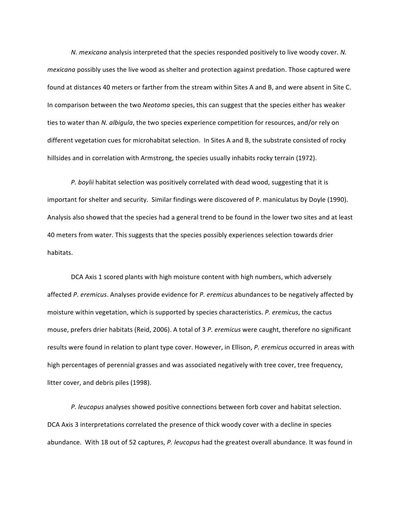*N. mexicana* analysis interpreted that the species responded positively to live woody cover. N. *mexicana* possibly uses the live wood as shelter and protection against predation. Those captured were found at distances 40 meters or farther from the stream within Sites A and B, and were absent in Site C. In comparison between the two *Neotoma* species, this can suggest that the species either has weaker ties to water than *N. albigula*, the two species experience competition for resources, and/or rely on different vegetation cues for microhabitat selection. In Sites A and B, the substrate consisted of rocky hillsides and in correlation with Armstrong, the species usually inhabits rocky terrain (1972).

P. boylii habitat selection was positively correlated with dead wood, suggesting that it is important for shelter and security. Similar findings were discovered of P. maniculatus by Doyle (1990). Analysis also showed that the species had a general trend to be found in the lower two sites and at least 40 meters from water. This suggests that the species possibly experiences selection towards drier habitats. 

DCA Axis 1 scored plants with high moisture content with high numbers, which adversely affected *P. eremicus*. Analyses provide evidence for *P. eremicus* abundances to be negatively affected by moisture within vegetation, which is supported by species characteristics. *P. eremicus*, the cactus mouse, prefers drier habitats (Reid, 2006). A total of 3 P. eremicus were caught, therefore no significant results were found in relation to plant type cover. However, in Ellison, *P. eremicus* occurred in areas with high percentages of perennial grasses and was associated negatively with tree cover, tree frequency, litter cover, and debris piles (1998).

P. leucopus analyses showed positive connections between forb cover and habitat selection. DCA Axis 3 interpretations correlated the presence of thick woody cover with a decline in species abundance. With 18 out of 52 captures, P. leucopus had the greatest overall abundance. It was found in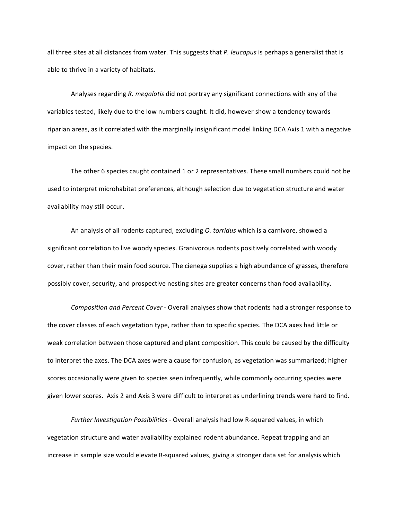all three sites at all distances from water. This suggests that *P. leucopus* is perhaps a generalist that is able to thrive in a variety of habitats.

Analyses regarding R. megalotis did not portray any significant connections with any of the variables tested, likely due to the low numbers caught. It did, however show a tendency towards riparian areas, as it correlated with the marginally insignificant model linking DCA Axis 1 with a negative impact on the species.

The other 6 species caught contained 1 or 2 representatives. These small numbers could not be used to interpret microhabitat preferences, although selection due to vegetation structure and water availability may still occur.

An analysis of all rodents captured, excluding *O. torridus* which is a carnivore, showed a significant correlation to live woody species. Granivorous rodents positively correlated with woody cover, rather than their main food source. The cienega supplies a high abundance of grasses, therefore possibly cover, security, and prospective nesting sites are greater concerns than food availability.

*Composition and Percent Cover* - Overall analyses show that rodents had a stronger response to the cover classes of each vegetation type, rather than to specific species. The DCA axes had little or weak correlation between those captured and plant composition. This could be caused by the difficulty to interpret the axes. The DCA axes were a cause for confusion, as vegetation was summarized; higher scores occasionally were given to species seen infrequently, while commonly occurring species were given lower scores. Axis 2 and Axis 3 were difficult to interpret as underlining trends were hard to find.

Further *Investigation Possibilities* - Overall analysis had low R-squared values, in which vegetation structure and water availability explained rodent abundance. Repeat trapping and an increase in sample size would elevate R-squared values, giving a stronger data set for analysis which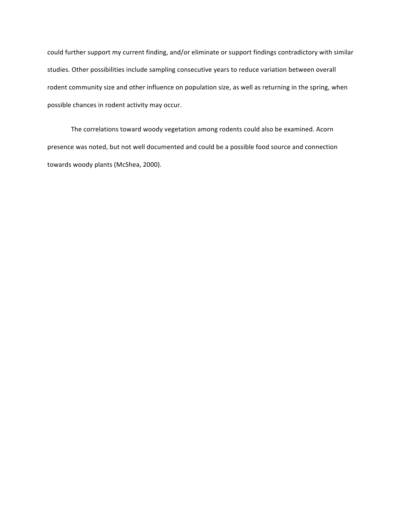could further support my current finding, and/or eliminate or support findings contradictory with similar studies. Other possibilities include sampling consecutive years to reduce variation between overall rodent community size and other influence on population size, as well as returning in the spring, when possible chances in rodent activity may occur.

The correlations toward woody vegetation among rodents could also be examined. Acorn presence was noted, but not well documented and could be a possible food source and connection towards woody plants (McShea, 2000).